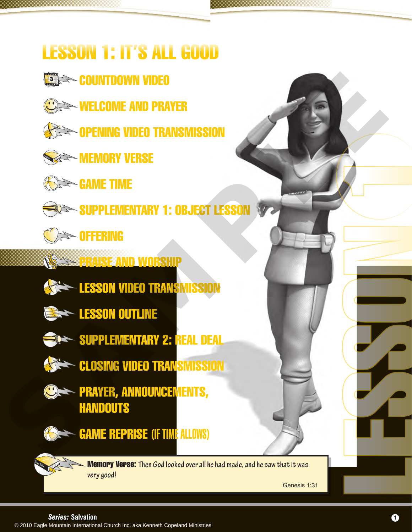# LESSON 1: IT'S ALL GOOD

- **SING COUNTDOWN VIDEO**
- **WELCOME AND PRAYER**
- **SEE OPENING VIDEO TRANSMISSION**
- **MEMORY VERSE**
- **GAME TIME**



- SUPPLEMENTARY 1: OBJECT LESSON
- **OFFERING**
- 
- **PRAISE AND WORSHIP**
- **EXAMPLESSON VIDEO TRANSMISSION**
- **ESSON OUTLINE**
- - SUPPLEMENTARY 2: REAL DEAL
- **CLOSING VIDEO TRANSMISSION**
- **PRAYER, ANNOUNCEMENTS, HANDOUTS** SAMPLE COME AND PRAYER<br>
SAMPLE TIME<br>
SAMPLE TIME<br>
SAMPLE TIME<br>
SAMPLE TIME<br>
SAMPLEMENTARY 1: DEJECT LESSON<br>
SAMPLE TIME<br>
SAMPLE TRANSMISSION<br>
SAMPLEMENTARY 2: REAL DEAL<br>
SAMPLEMENTARY 2: REAL DEAL<br>
SAMPLEMENTARY 2: REAL DE



GAME REPRISE (IF TIME ALLOWS)

Memory Verse: **Then God looked over all he had made, and he saw that it was very good!**

Genesis 1:31

LESSON 1999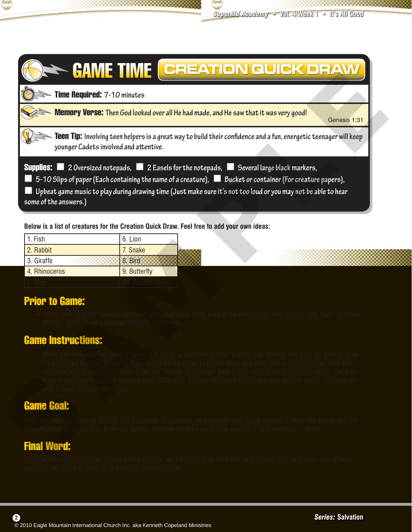

|                                                    | Time Required: 7-10 minutes                        |                                                                                                                                                                                                                                                                                                                                                                                                                                                                                                        |
|----------------------------------------------------|----------------------------------------------------|--------------------------------------------------------------------------------------------------------------------------------------------------------------------------------------------------------------------------------------------------------------------------------------------------------------------------------------------------------------------------------------------------------------------------------------------------------------------------------------------------------|
|                                                    |                                                    | <b>Memory Verse:</b> Then God looked over all He had made, and He saw that it was very good!<br>Genesis 1:31                                                                                                                                                                                                                                                                                                                                                                                           |
|                                                    | younger Cadets involved and attentive.             | <b>Teen Tip:</b> Involving teen helpers is a great way to build their confidence and a fun, energetic teenager will keep                                                                                                                                                                                                                                                                                                                                                                               |
| some of the answers.)                              |                                                    | <b>Supplies:</b> $\blacksquare$ 2 Oversized notepads, $\blacksquare$ 2 Easels for the notepads, $\blacksquare$ Several large black markers,<br>5-10 Slips of paper (Each containing the name of a creature), <b>B</b> Bucket or container (For creature papers),<br>Upbeat game music to play during drawing time (Just make sure it's not too loud or you may not be able to hear                                                                                                                     |
| 1. Fish                                            | 6. Lion                                            | Below is a list of creatures for the Creation Quick Draw. Feel free to add your own ideas:                                                                                                                                                                                                                                                                                                                                                                                                             |
| 2. Rabbit                                          | 7. Snake                                           |                                                                                                                                                                                                                                                                                                                                                                                                                                                                                                        |
| 3. Giraffe                                         | 8. Bird                                            |                                                                                                                                                                                                                                                                                                                                                                                                                                                                                                        |
| 4. Rhinoceros                                      | 9. Butterfly                                       |                                                                                                                                                                                                                                                                                                                                                                                                                                                                                                        |
| 5. Deer                                            | 10. Spider                                         |                                                                                                                                                                                                                                                                                                                                                                                                                                                                                                        |
| <b>Prior to Game:</b><br><b>Game Instructions:</b> | Station" should have a notepad, easel and markers. | • Create two separate "Creation Stations" and place them at the front of the room/stage, one on each side. Each "Creation                                                                                                                                                                                                                                                                                                                                                                              |
| until a team reaches 500 points.                   |                                                    | . Divide the room into two sides or teams and assign a "Creation Station" to each side. Choose one artist per team to draw.<br>It's important that the artists be close in age for the game to be fair. Have one artist pick a creature paper from the<br>container and show it to the other artist. On "Ready, Set, Draw!" both artists must draw the creature listed. The first<br>team to correctly guess the creature gets 100 points. Choose two more artists and play another round. Continue on |
| <b>Game Goal:</b>                                  |                                                    |                                                                                                                                                                                                                                                                                                                                                                                                                                                                                                        |
| <b>Final Word:</b>                                 |                                                    | Draw the creature listed as quickly and accurately as possible, so your team may easily discern it. Draw too slowly and the<br>other team could guess first. Draw too quickly and your creature could look weird and be impossible to guess!                                                                                                                                                                                                                                                           |
|                                                    |                                                    | Some of the creatures drawn looked pretty strange Isn't it amazing to think that God created each and every one of them                                                                                                                                                                                                                                                                                                                                                                                |

| 1. Fish       | 6. Lion      |
|---------------|--------------|
| 2. Rabbit     | 7. Snake     |
| l 3. Giraffe  | 8. Bird      |
| 4. Rhinoceros | 9. Butterfly |
| 5. Deer       | 10. Spider   |

# Prior to Game:

#### Game Instructions:

## Game Goal:

# Final Word:

 $(2)$ 

Some of the creatures drawn looked pretty strange. Isn't it amazing to think that God created each and every one of them perfectly the very first time! He didn't even need an eraser!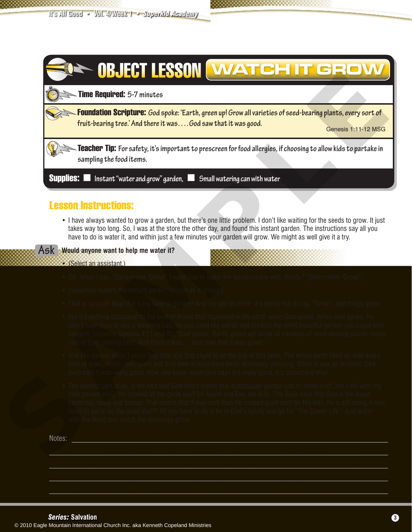

#### Lesson Instructions:

• I have always wanted to grow a garden, but there's one little problem. I don't like waiting for the seeds to grow. It just takes way too long. So, I was at the store the other day, and found this instant garden. The instructions say all you have to do is water it, and within just a few minutes your garden will grow. We might as well give it a try.



**Would anyone want to help me water it?**

- **•** (Select an assistant.)
- OK, when I say, "Garrrrrrden, Grow!" I want you to water the garden really well. Ready? "Garrrrrrden, Grow!"
- (Volunteer waters the instant garden. Watch as it grows.)
- That is so cool! Now that's my kind of garden! And I've got to admit, it's pretty fun to say, "Grow!" and things grow.
- But it's nothing compared to the kind of things that happened in the earth when God spoke. When God spoke, He didn't even have to use a watering can, He just used His words and created the most beautiful garden you could ever imagine. Listen to Genesis 1:11 and 12, "God spoke: 'Earth, green up! Grow all varieties of seed-bearing plants, every sort of fruit-bearing tree.' And there it was…. God saw that it was good."
- And His garden wasn't some tiny little one that could fit on the top of this table. The whole earth filled up with every kind of grass, bush, vine, plant and fruit tree. It must have been absolutely amazing. When it was all finished, God even said it was really good. Now you know when God says it's really good, it's something else!
- The neatest part of all, is the fact that God didn't create that spectacular garden just to show it off, like I did with my little garden (ha!). He created all the good stuff for Adam and Eve, His kids. The Bible says that God is the same yesterday, today and forever. That means that if way back then He created good stuff for His kids, He is still doing it now. Want to get in on the good stuff? All you have to do is be in God's family and go for "The Sweet Life." Just water with the Word and watch the blessings grow!

 $\mathcal{L}_\mathcal{L} = \mathcal{L}_\mathcal{L} = \mathcal{L}_\mathcal{L} = \mathcal{L}_\mathcal{L} = \mathcal{L}_\mathcal{L} = \mathcal{L}_\mathcal{L} = \mathcal{L}_\mathcal{L} = \mathcal{L}_\mathcal{L} = \mathcal{L}_\mathcal{L} = \mathcal{L}_\mathcal{L} = \mathcal{L}_\mathcal{L} = \mathcal{L}_\mathcal{L} = \mathcal{L}_\mathcal{L} = \mathcal{L}_\mathcal{L} = \mathcal{L}_\mathcal{L} = \mathcal{L}_\mathcal{L} = \mathcal{L}_\mathcal{L}$ 

Notes: where the contract of the contract of the contract of the contract of the contract of the contract of the contract of the contract of the contract of the contract of the contract of the contract of the contract of t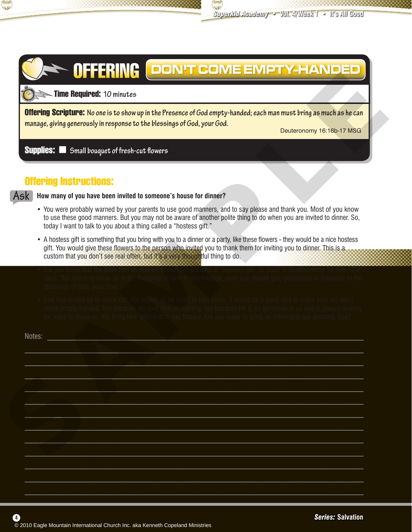

# OFFERING DON'T COME EMPTY-HANDED

#### Time Required: **10 minutes <sup>60</sup> <sup>5</sup>**

#### Supplies: < **Small bouquet of fresh-cut flowers**

#### Offering Instructions:



**4**

- You were probably warned by your parents to use good manners, and to say please and thank you. Most of you know to use these good manners. But you may not be aware of another polite thing to do when you are invited to dinner. So, today I want to talk to you about a thing called a "hostess gift."
- A hostess gift is something that you bring with you to a dinner or a party, like these flowers they would be a nice hostess gift. You would give these flowers to the person who invited you to thank them for inviting you to dinner. This is a custom that you don't see real often, but it's a very thoughtful thing to do.
- Did you know that the Bible tells us that we should bring a kind of "hostess gift" to God? In Deuteronomy 16:16b-17 it says: "No one is to show up in the Presence of God empty-handed; each one should give generously in response to the blessings of God, your God."
- God has invited us to come into His house, to be close to Him today. It would be a good idea to make sure we don't come empty-handed. Not because we owe Him something, but because He is so generous to us and is always looking for ways to bless us. We bring Him gifts just to say thanks! Are you ready to bring an offering to our amazing God?

| <b>Supplies:</b> Small bouquet of fresh-cut flowers<br><b>Offering Instructions:</b><br>How many of you have been invited to someone's house for dinner?<br>• You were probably warned by your parents to use good manners, and to say please and thank you. Most of you know<br>to use these good manners. But you may not be aware of another polite thing to do when you are invited to dinner. So,<br>today I want to talk to you about a thing called a "hostess gift."<br>• A hostess gift is something that you bring with you to a dinner or a party, like these flowers - they would be a nice hostess<br>gift. You would give these flowers to the person who invited you to thank them for inviting you to dinner. This is a<br>custom that you don't see real often, but it's a very thoughtful thing to do.<br>• Did you know that the Bible tells us that we should bring a kind of "hostess gift" to God? In Deuteronomy 16:16b-17 it<br>says: "No one is to show up in the Presence of God empty-handed; each one should give generously in response to the<br>blessings of God, your God."<br>• God has invited us to come into His house, to be close to Him today. It would be a good idea to make sure we don't<br>come empty-handed. Not because we owe Him something, but because He is so generous to us and is always looking<br>for ways to bless us. We bring Him gifts just to say thanks! Are you ready to bring an offering to our amazing God?<br>Notes: | manage, giving generously in response to the blessings of God, your God. | Deuteronomy 16:16b-17 MSG |
|----------------------------------------------------------------------------------------------------------------------------------------------------------------------------------------------------------------------------------------------------------------------------------------------------------------------------------------------------------------------------------------------------------------------------------------------------------------------------------------------------------------------------------------------------------------------------------------------------------------------------------------------------------------------------------------------------------------------------------------------------------------------------------------------------------------------------------------------------------------------------------------------------------------------------------------------------------------------------------------------------------------------------------------------------------------------------------------------------------------------------------------------------------------------------------------------------------------------------------------------------------------------------------------------------------------------------------------------------------------------------------------------------------------------------------------------------------------------------------------|--------------------------------------------------------------------------|---------------------------|
|                                                                                                                                                                                                                                                                                                                                                                                                                                                                                                                                                                                                                                                                                                                                                                                                                                                                                                                                                                                                                                                                                                                                                                                                                                                                                                                                                                                                                                                                                        |                                                                          |                           |
|                                                                                                                                                                                                                                                                                                                                                                                                                                                                                                                                                                                                                                                                                                                                                                                                                                                                                                                                                                                                                                                                                                                                                                                                                                                                                                                                                                                                                                                                                        |                                                                          |                           |
|                                                                                                                                                                                                                                                                                                                                                                                                                                                                                                                                                                                                                                                                                                                                                                                                                                                                                                                                                                                                                                                                                                                                                                                                                                                                                                                                                                                                                                                                                        |                                                                          |                           |
|                                                                                                                                                                                                                                                                                                                                                                                                                                                                                                                                                                                                                                                                                                                                                                                                                                                                                                                                                                                                                                                                                                                                                                                                                                                                                                                                                                                                                                                                                        |                                                                          |                           |
|                                                                                                                                                                                                                                                                                                                                                                                                                                                                                                                                                                                                                                                                                                                                                                                                                                                                                                                                                                                                                                                                                                                                                                                                                                                                                                                                                                                                                                                                                        |                                                                          |                           |
|                                                                                                                                                                                                                                                                                                                                                                                                                                                                                                                                                                                                                                                                                                                                                                                                                                                                                                                                                                                                                                                                                                                                                                                                                                                                                                                                                                                                                                                                                        |                                                                          |                           |
|                                                                                                                                                                                                                                                                                                                                                                                                                                                                                                                                                                                                                                                                                                                                                                                                                                                                                                                                                                                                                                                                                                                                                                                                                                                                                                                                                                                                                                                                                        |                                                                          |                           |
|                                                                                                                                                                                                                                                                                                                                                                                                                                                                                                                                                                                                                                                                                                                                                                                                                                                                                                                                                                                                                                                                                                                                                                                                                                                                                                                                                                                                                                                                                        |                                                                          |                           |
|                                                                                                                                                                                                                                                                                                                                                                                                                                                                                                                                                                                                                                                                                                                                                                                                                                                                                                                                                                                                                                                                                                                                                                                                                                                                                                                                                                                                                                                                                        |                                                                          |                           |
|                                                                                                                                                                                                                                                                                                                                                                                                                                                                                                                                                                                                                                                                                                                                                                                                                                                                                                                                                                                                                                                                                                                                                                                                                                                                                                                                                                                                                                                                                        |                                                                          |                           |
|                                                                                                                                                                                                                                                                                                                                                                                                                                                                                                                                                                                                                                                                                                                                                                                                                                                                                                                                                                                                                                                                                                                                                                                                                                                                                                                                                                                                                                                                                        |                                                                          |                           |
|                                                                                                                                                                                                                                                                                                                                                                                                                                                                                                                                                                                                                                                                                                                                                                                                                                                                                                                                                                                                                                                                                                                                                                                                                                                                                                                                                                                                                                                                                        |                                                                          |                           |
|                                                                                                                                                                                                                                                                                                                                                                                                                                                                                                                                                                                                                                                                                                                                                                                                                                                                                                                                                                                                                                                                                                                                                                                                                                                                                                                                                                                                                                                                                        |                                                                          |                           |
|                                                                                                                                                                                                                                                                                                                                                                                                                                                                                                                                                                                                                                                                                                                                                                                                                                                                                                                                                                                                                                                                                                                                                                                                                                                                                                                                                                                                                                                                                        |                                                                          |                           |
|                                                                                                                                                                                                                                                                                                                                                                                                                                                                                                                                                                                                                                                                                                                                                                                                                                                                                                                                                                                                                                                                                                                                                                                                                                                                                                                                                                                                                                                                                        |                                                                          |                           |
|                                                                                                                                                                                                                                                                                                                                                                                                                                                                                                                                                                                                                                                                                                                                                                                                                                                                                                                                                                                                                                                                                                                                                                                                                                                                                                                                                                                                                                                                                        |                                                                          |                           |
|                                                                                                                                                                                                                                                                                                                                                                                                                                                                                                                                                                                                                                                                                                                                                                                                                                                                                                                                                                                                                                                                                                                                                                                                                                                                                                                                                                                                                                                                                        |                                                                          |                           |
|                                                                                                                                                                                                                                                                                                                                                                                                                                                                                                                                                                                                                                                                                                                                                                                                                                                                                                                                                                                                                                                                                                                                                                                                                                                                                                                                                                                                                                                                                        |                                                                          |                           |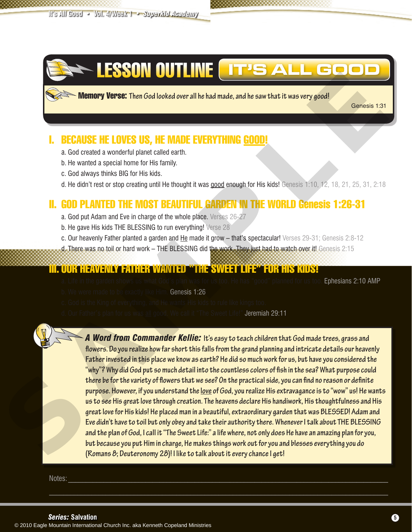

Memory Verse: **Then God looked over all he had made, and he saw that it was very good!** 

Genesis 1:31

# I. BECAUSE HE LOVES US, HE MADE EVERYTHING GOOD!

- a. God created a wonderful planet called earth.
- b. He wanted a special home for His family.
- c. God always thinks BIG for His kids.
- d. He didn't rest or stop creating until He thought it was good enough for His kids! Genesis 1:10, 12, 18, 21, 25, 31, 2:18

# II. GOD PLANTED THE MOST BEAUTIFUL GARDEN IN THE WORLD Genesis 1:26-31

- a. God put Adam and Eve in charge of the whole place. Verses 26-27
- b. He gave His kids THE BLESSING to run everything! Verse 28
- c. Our heavenly Father planted a garden and He made it grow that's spectacular! Verses 29-31; Genesis 2:8-12
- d. There was no toil or hard work THE BLESSING did the work. They just had to watch over it! Genesis 2:15

## III. OUR HEAVENLY FATHER WANTED "THE SWEET LIFE" FOR HIS KIDS!

- a. Life in the garden shows us what God's plan was for us too. He has "good" planned for us too. Ephesians 2:10 AMP
- b. We were made to be exactly like Him. Genesis 1:26
- c. God is the King of everything, and He wants His kids to rule like kings too.
- d. Our Father's plan for us was all good. We call it "The Sweet Life!" Jeremiah 29:11

*A Word from Commander Kellie:* **It's easy to teach children that God made trees, grass and flowers. Do you realize how far short this falls from the grand planning and intricate details our heavenly Father invested in this place we know as earth? He did so much work for us, but have you considered the "why"? Why did God put so much detail into the countless colors of fish in the sea? What purpose could there be for the variety of flowers that we see? On the practical side, you can find no reason or definite purpose. However, if you understand the love of God, you realize His extravagance is to "wow" us! He wants us to see His great love through creation. The heavens declare His handiwork, His thoughtfulness and His great love for His kids! He placed man in a beautiful, extraordinary garden that was BLESSED! Adam and Eve didn't have to toil but only obey and take their authority there. Whenever I talk about THE BLESSING and the plan of God, I call it "The Sweet Life:" a life where, not only does He have an amazing plan for you, but because you put Him in charge, He makes things work out for you and blesses everything you do EXAMPLE THE COVERT CONSIDERATION CONSIDERATION CONSIDERATION CONSIDERATION CONSIDERATION CONSIDERATION CONSIDERATION CONSIDERATION CONSIDERATION CONSIDERATION CONSIDERATION CONSIDERATION CONSIDERATION CONSIDERATION CONSID (Romans 8; Deuteronomy 28)! I like to talk about it every chance I get!**

Notes: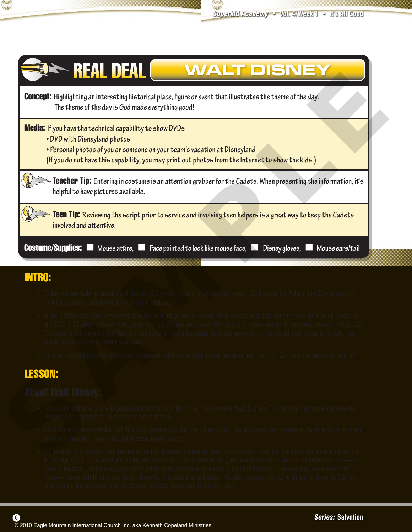



## INTRO:

- **•** Today we are talking about stuff that is ALL good—like the awesome garden God made for Adam and Eve to play in. One thing many people enjoy is amusement parks.
- In the 1920s and '30s amusement parks with rides were mostly dirty places, not safe for families: NOT at all good. So in 1923, a 21-year-old man set out to change all that and revolutionize the amusement-park business forever. His goal? To create a theme park that had fun attractions and a beautiful atmosphere—one that would stay clean and safe, but would keep changing with imagination.
- He also created a famous cartoon character with some interesting features just like me. Can anyone guess who it is?

## LESSON:

# About Walt Disney:

- **•** This man had one of the biggest imaginations of his time. His name is Walt Disney. To this day his name represents imagination, optimism, success and excellence.
- Walt became interested in art at a very young age. He would even sell his sketches and drawings to neighbors to earn spending money. They must have been really good!
- Mr. Disney started his own business drawing advertisements and illustrations. Then he launched an animation studio. At the age of 22, he started producing short animated films. One of his good creations was a mouse called Mortimer—later named Mickey. Just a few years later other good things were created by Walt Disney…maybe you know some of them—Snow White and the Seven Dwarfs, Pinocchio and Bambi. He also created books with some favorite Disney characters: Mickey and Minnie Mouse, Donald Duck and Pluto the dog.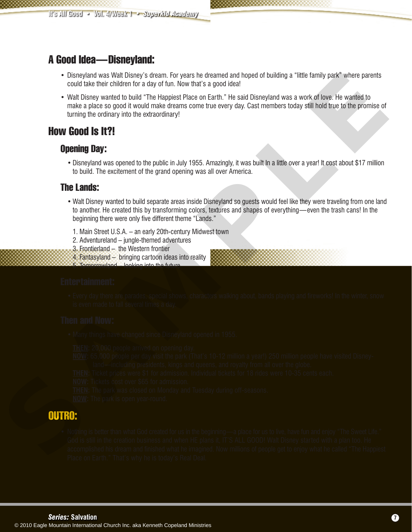## A Good Idea—Disneyland:

- **•** Disneyland was Walt Disney's dream. For years he dreamed and hoped of building a "little family park" where parents could take their children for a day of fun. Now that's a good idea!
- Walt Disney wanted to build "The Happiest Place on Earth." He said Disneyland was a work of love. He wanted to make a place so good it would make dreams come true every day. Cast members today still hold true to the promise of turning the ordinary into the extraordinary!

## How Good Is It?!

#### Opening Day:

 • Disneyland was opened to the public in July 1955. Amazingly, it was built In a little over a year! It cost about \$17 million to build. The excitement of the grand opening was all over America.

#### The Lands:

- Walt Disney wanted to build separate areas inside Disneyland so guests would feel like they were traveling from one land to another. He created this by transforming colors, textures and shapes of everything—even the trash cans! In the beginning there were only five different theme "Lands."
	- 1. Main Street U.S.A. an early 20th-century Midwest town
	- 2. Adventureland jungle-themed adventures
	- 3. Frontierland the Western frontier
	- 4. Fantasyland bringing cartoon ideas into reality
	- 5. Tomorrowland looking into the future

#### Entertainment:

 • Every day there are parades, special shows, characters walking about, bands playing and fireworks! In the winter, snow is even made to fall several times a day.

#### Then and Now:

• Many things have changed since Disneyland opened in 1955.

**THEN:** 20,000 people arrived on opening day.

- **NOW:** 65,000 people per day visit the park (That's 10-12 million a year!) 250 million people have visited Disney land—including presidents, kings and queens, and royalty from all over the globe.
- **THEN:** Ticket prices were \$1 for admission. Individual tickets for 18 rides were 10-35 cents each.
- **NOW:** Tickets cost over \$65 for admission.

**THEN:** The park was closed on Monday and Tuesday during off-seasons.

**NOW:** The park is open year-round.

## OUTRO:

**•** Nothing is better than what God created for us in the beginning—a place for us to live, have fun and enjoy "The Sweet Life." God is still in the creation business and when HE plans it, IT'S ALL GOOD! Walt Disney started with a plan too. He accomplished a transformation of the imagined what he imagined what he include to entour method what he imagine to envoy the state of the interest to enjoy what he imagine provides to engotial the inclusions of the inclusi